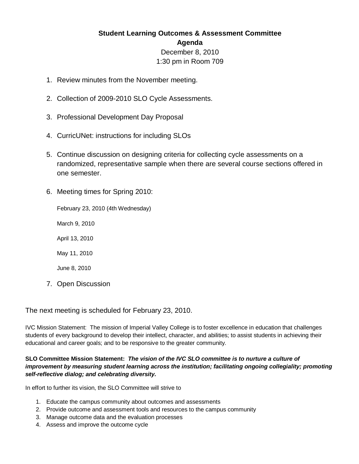## **Student Learning Outcomes & Assessment Committee Agenda** December 8, 2010 1:30 pm in Room 709

- 1. Review minutes from the November meeting.
- 2. Collection of 2009-2010 SLO Cycle Assessments.
- 3. Professional Development Day Proposal
- 4. CurricUNet: instructions for including SLOs
- 5. Continue discussion on designing criteria for collecting cycle assessments on a randomized, representative sample when there are several course sections offered in one semester.
- 6. Meeting times for Spring 2010:

February 23, 2010 (4th Wednesday)

March 9, 2010

April 13, 2010

May 11, 2010

June 8, 2010

7. Open Discussion

## The next meeting is scheduled for February 23, 2010.

IVC Mission Statement: The mission of Imperial Valley College is to foster excellence in education that challenges students of every background to develop their intellect, character, and abilities; to assist students in achieving their educational and career goals; and to be responsive to the greater community.

## **SLO Committee Mission Statement:** *The vision of the IVC SLO committee is to nurture a culture of improvement by measuring student learning across the institution; facilitating ongoing collegiality; promoting self-reflective dialog; and celebrating diversity.*

In effort to further its vision, the SLO Committee will strive to

- 1. Educate the campus community about outcomes and assessments
- 2. Provide outcome and assessment tools and resources to the campus community
- 3. Manage outcome data and the evaluation processes
- 4. Assess and improve the outcome cycle